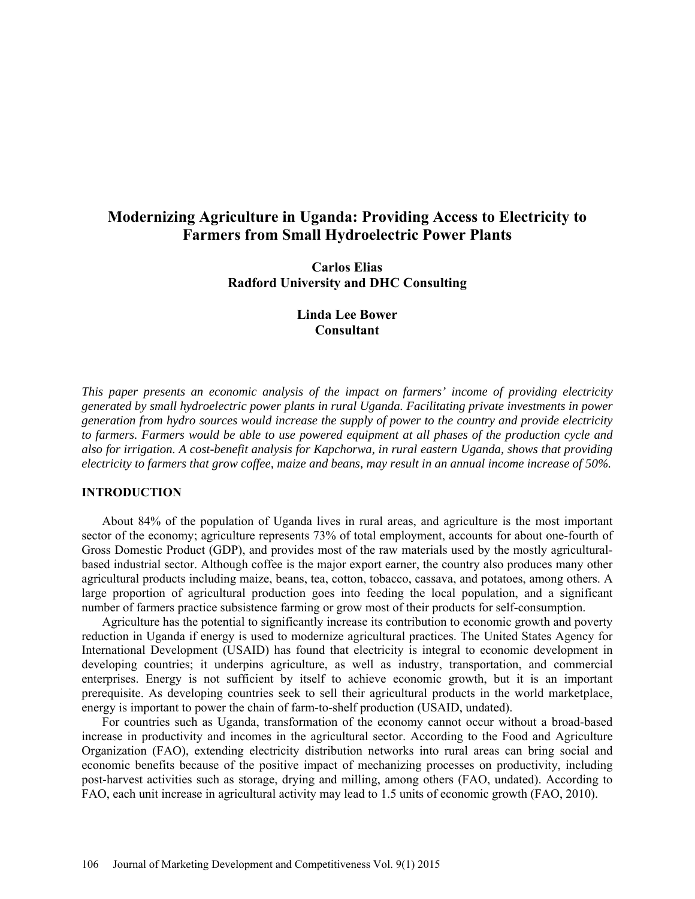# **Modernizing Agriculture in Uganda: Providing Access to Electricity to Farmers from Small Hydroelectric Power Plants**

**Carlos Elias Radford University and DHC Consulting** 

# **Linda Lee Bower Consultant**

*This paper presents an economic analysis of the impact on farmers' income of providing electricity generated by small hydroelectric power plants in rural Uganda. Facilitating private investments in power generation from hydro sources would increase the supply of power to the country and provide electricity to farmers. Farmers would be able to use powered equipment at all phases of the production cycle and also for irrigation. A cost-benefit analysis for Kapchorwa, in rural eastern Uganda, shows that providing electricity to farmers that grow coffee, maize and beans, may result in an annual income increase of 50%.* 

### **INTRODUCTION**

About 84% of the population of Uganda lives in rural areas, and agriculture is the most important sector of the economy; agriculture represents 73% of total employment, accounts for about one-fourth of Gross Domestic Product (GDP), and provides most of the raw materials used by the mostly agriculturalbased industrial sector. Although coffee is the major export earner, the country also produces many other agricultural products including maize, beans, tea, cotton, tobacco, cassava, and potatoes, among others. A large proportion of agricultural production goes into feeding the local population, and a significant number of farmers practice subsistence farming or grow most of their products for self-consumption.

Agriculture has the potential to significantly increase its contribution to economic growth and poverty reduction in Uganda if energy is used to modernize agricultural practices. The United States Agency for International Development (USAID) has found that electricity is integral to economic development in developing countries; it underpins agriculture, as well as industry, transportation, and commercial enterprises. Energy is not sufficient by itself to achieve economic growth, but it is an important prerequisite. As developing countries seek to sell their agricultural products in the world marketplace, energy is important to power the chain of farm-to-shelf production (USAID, undated).

For countries such as Uganda, transformation of the economy cannot occur without a broad-based increase in productivity and incomes in the agricultural sector. According to the Food and Agriculture Organization (FAO), extending electricity distribution networks into rural areas can bring social and economic benefits because of the positive impact of mechanizing processes on productivity, including post-harvest activities such as storage, drying and milling, among others (FAO, undated). According to FAO, each unit increase in agricultural activity may lead to 1.5 units of economic growth (FAO, 2010).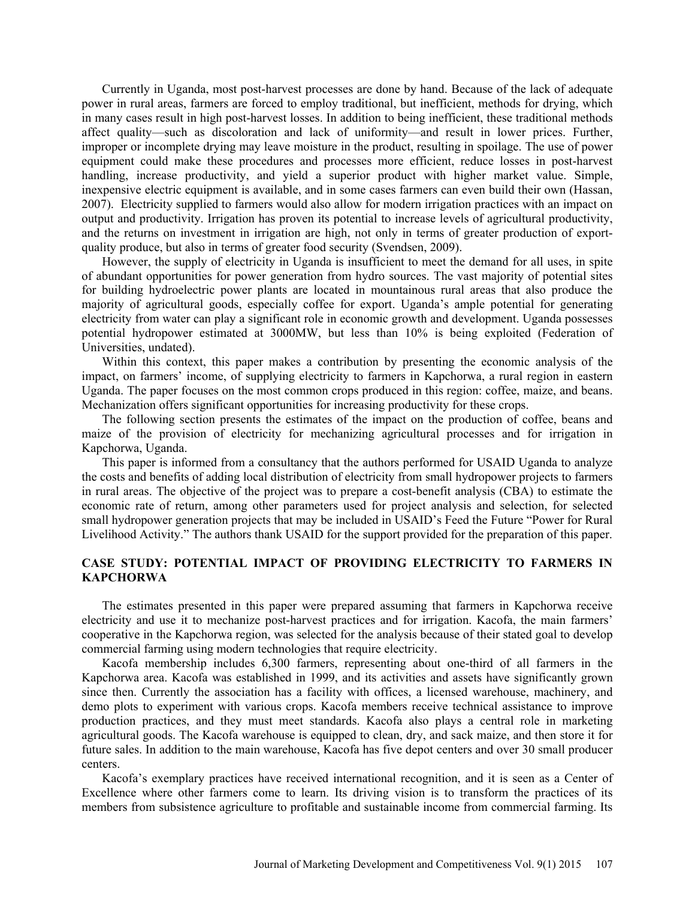Currently in Uganda, most post-harvest processes are done by hand. Because of the lack of adequate power in rural areas, farmers are forced to employ traditional, but inefficient, methods for drying, which in many cases result in high post-harvest losses. In addition to being inefficient, these traditional methods affect quality—such as discoloration and lack of uniformity—and result in lower prices. Further, improper or incomplete drying may leave moisture in the product, resulting in spoilage. The use of power equipment could make these procedures and processes more efficient, reduce losses in post-harvest handling, increase productivity, and yield a superior product with higher market value. Simple, inexpensive electric equipment is available, and in some cases farmers can even build their own (Hassan, 2007). Electricity supplied to farmers would also allow for modern irrigation practices with an impact on output and productivity. Irrigation has proven its potential to increase levels of agricultural productivity, and the returns on investment in irrigation are high, not only in terms of greater production of exportquality produce, but also in terms of greater food security (Svendsen, 2009).

However, the supply of electricity in Uganda is insufficient to meet the demand for all uses, in spite of abundant opportunities for power generation from hydro sources. The vast majority of potential sites for building hydroelectric power plants are located in mountainous rural areas that also produce the majority of agricultural goods, especially coffee for export. Uganda's ample potential for generating electricity from water can play a significant role in economic growth and development. Uganda possesses potential hydropower estimated at 3000MW, but less than 10% is being exploited (Federation of Universities, undated).

Within this context, this paper makes a contribution by presenting the economic analysis of the impact, on farmers' income, of supplying electricity to farmers in Kapchorwa, a rural region in eastern Uganda. The paper focuses on the most common crops produced in this region: coffee, maize, and beans. Mechanization offers significant opportunities for increasing productivity for these crops.

The following section presents the estimates of the impact on the production of coffee, beans and maize of the provision of electricity for mechanizing agricultural processes and for irrigation in Kapchorwa, Uganda.

This paper is informed from a consultancy that the authors performed for USAID Uganda to analyze the costs and benefits of adding local distribution of electricity from small hydropower projects to farmers in rural areas. The objective of the project was to prepare a cost-benefit analysis (CBA) to estimate the economic rate of return, among other parameters used for project analysis and selection, for selected small hydropower generation projects that may be included in USAID's Feed the Future "Power for Rural Livelihood Activity." The authors thank USAID for the support provided for the preparation of this paper.

# **CASE STUDY: POTENTIAL IMPACT OF PROVIDING ELECTRICITY TO FARMERS IN KAPCHORWA**

The estimates presented in this paper were prepared assuming that farmers in Kapchorwa receive electricity and use it to mechanize post-harvest practices and for irrigation. Kacofa, the main farmers' cooperative in the Kapchorwa region, was selected for the analysis because of their stated goal to develop commercial farming using modern technologies that require electricity.

Kacofa membership includes 6,300 farmers, representing about one-third of all farmers in the Kapchorwa area. Kacofa was established in 1999, and its activities and assets have significantly grown since then. Currently the association has a facility with offices, a licensed warehouse, machinery, and demo plots to experiment with various crops. Kacofa members receive technical assistance to improve production practices, and they must meet standards. Kacofa also plays a central role in marketing agricultural goods. The Kacofa warehouse is equipped to clean, dry, and sack maize, and then store it for future sales. In addition to the main warehouse, Kacofa has five depot centers and over 30 small producer centers.

Kacofa's exemplary practices have received international recognition, and it is seen as a Center of Excellence where other farmers come to learn. Its driving vision is to transform the practices of its members from subsistence agriculture to profitable and sustainable income from commercial farming. Its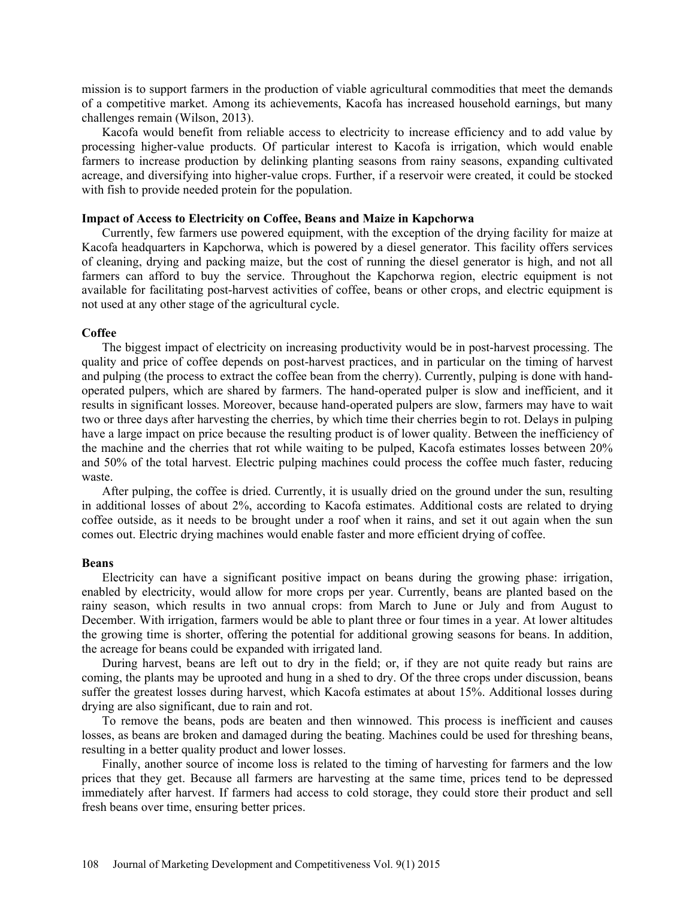mission is to support farmers in the production of viable agricultural commodities that meet the demands of a competitive market. Among its achievements, Kacofa has increased household earnings, but many challenges remain (Wilson, 2013).

Kacofa would benefit from reliable access to electricity to increase efficiency and to add value by processing higher-value products. Of particular interest to Kacofa is irrigation, which would enable farmers to increase production by delinking planting seasons from rainy seasons, expanding cultivated acreage, and diversifying into higher-value crops. Further, if a reservoir were created, it could be stocked with fish to provide needed protein for the population.

### **Impact of Access to Electricity on Coffee, Beans and Maize in Kapchorwa**

Currently, few farmers use powered equipment, with the exception of the drying facility for maize at Kacofa headquarters in Kapchorwa, which is powered by a diesel generator. This facility offers services of cleaning, drying and packing maize, but the cost of running the diesel generator is high, and not all farmers can afford to buy the service. Throughout the Kapchorwa region, electric equipment is not available for facilitating post-harvest activities of coffee, beans or other crops, and electric equipment is not used at any other stage of the agricultural cycle.

#### **Coffee**

The biggest impact of electricity on increasing productivity would be in post-harvest processing. The quality and price of coffee depends on post-harvest practices, and in particular on the timing of harvest and pulping (the process to extract the coffee bean from the cherry). Currently, pulping is done with handoperated pulpers, which are shared by farmers. The hand-operated pulper is slow and inefficient, and it results in significant losses. Moreover, because hand-operated pulpers are slow, farmers may have to wait two or three days after harvesting the cherries, by which time their cherries begin to rot. Delays in pulping have a large impact on price because the resulting product is of lower quality. Between the inefficiency of the machine and the cherries that rot while waiting to be pulped, Kacofa estimates losses between 20% and 50% of the total harvest. Electric pulping machines could process the coffee much faster, reducing waste.

After pulping, the coffee is dried. Currently, it is usually dried on the ground under the sun, resulting in additional losses of about 2%, according to Kacofa estimates. Additional costs are related to drying coffee outside, as it needs to be brought under a roof when it rains, and set it out again when the sun comes out. Electric drying machines would enable faster and more efficient drying of coffee.

#### **Beans**

Electricity can have a significant positive impact on beans during the growing phase: irrigation, enabled by electricity, would allow for more crops per year. Currently, beans are planted based on the rainy season, which results in two annual crops: from March to June or July and from August to December. With irrigation, farmers would be able to plant three or four times in a year. At lower altitudes the growing time is shorter, offering the potential for additional growing seasons for beans. In addition, the acreage for beans could be expanded with irrigated land.

During harvest, beans are left out to dry in the field; or, if they are not quite ready but rains are coming, the plants may be uprooted and hung in a shed to dry. Of the three crops under discussion, beans suffer the greatest losses during harvest, which Kacofa estimates at about 15%. Additional losses during drying are also significant, due to rain and rot.

To remove the beans, pods are beaten and then winnowed. This process is inefficient and causes losses, as beans are broken and damaged during the beating. Machines could be used for threshing beans, resulting in a better quality product and lower losses.

Finally, another source of income loss is related to the timing of harvesting for farmers and the low prices that they get. Because all farmers are harvesting at the same time, prices tend to be depressed immediately after harvest. If farmers had access to cold storage, they could store their product and sell fresh beans over time, ensuring better prices.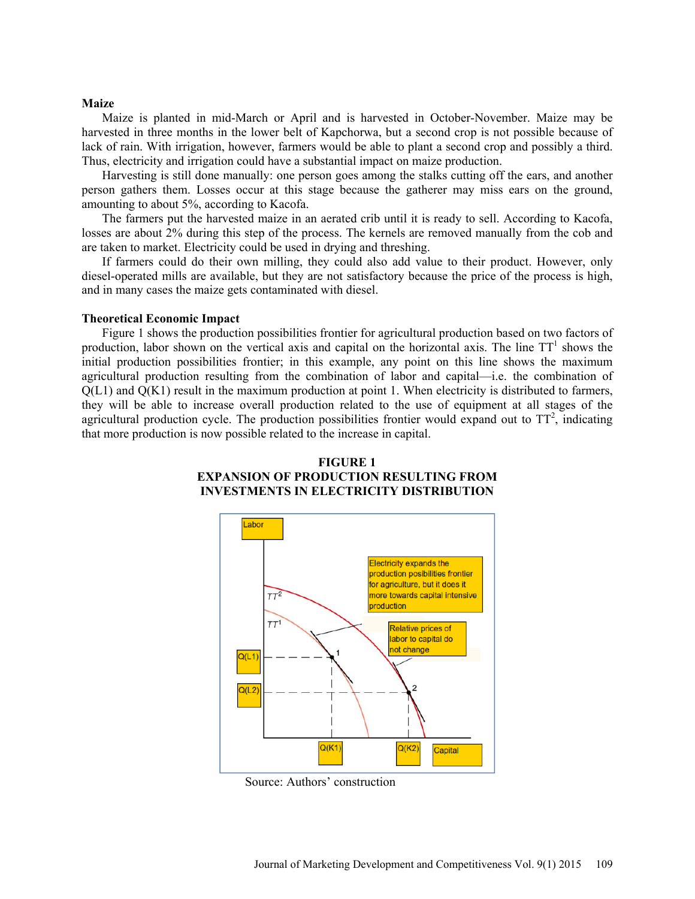#### **Maize**

Maize is planted in mid-March or April and is harvested in October-November. Maize may be harvested in three months in the lower belt of Kapchorwa, but a second crop is not possible because of lack of rain. With irrigation, however, farmers would be able to plant a second crop and possibly a third. Thus, electricity and irrigation could have a substantial impact on maize production.

Harvesting is still done manually: one person goes among the stalks cutting off the ears, and another person gathers them. Losses occur at this stage because the gatherer may miss ears on the ground, amounting to about 5%, according to Kacofa.

The farmers put the harvested maize in an aerated crib until it is ready to sell. According to Kacofa, losses are about 2% during this step of the process. The kernels are removed manually from the cob and are taken to market. Electricity could be used in drying and threshing.

If farmers could do their own milling, they could also add value to their product. However, only diesel-operated mills are available, but they are not satisfactory because the price of the process is high, and in many cases the maize gets contaminated with diesel.

#### **Theoretical Economic Impact**

Figure 1 shows the production possibilities frontier for agricultural production based on two factors of production, labor shown on the vertical axis and capital on the horizontal axis. The line  $TT<sup>1</sup>$  shows the initial production possibilities frontier; in this example, any point on this line shows the maximum agricultural production resulting from the combination of labor and capital—i.e. the combination of  $Q(L1)$  and  $Q(K1)$  result in the maximum production at point 1. When electricity is distributed to farmers, they will be able to increase overall production related to the use of equipment at all stages of the agricultural production cycle. The production possibilities frontier would expand out to  $TT^2$ , indicating that more production is now possible related to the increase in capital.





Source: Authors' construction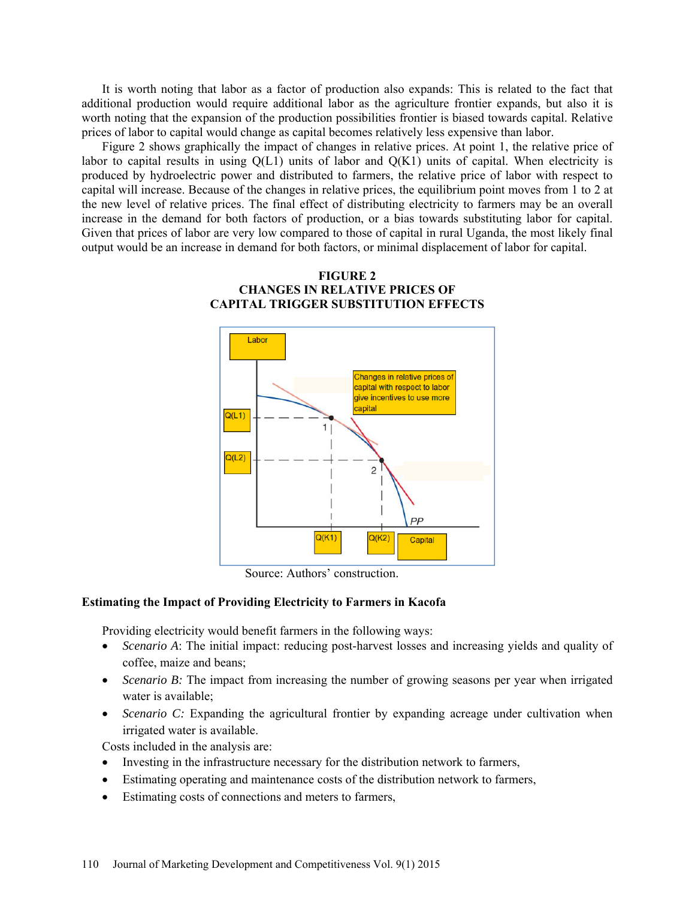It is worth noting that labor as a factor of production also expands: This is related to the fact that additional production would require additional labor as the agriculture frontier expands, but also it is worth noting that the expansion of the production possibilities frontier is biased towards capital. Relative prices of labor to capital would change as capital becomes relatively less expensive than labor.

Figure 2 shows graphically the impact of changes in relative prices. At point 1, the relative price of labor to capital results in using  $Q(L1)$  units of labor and  $Q(K1)$  units of capital. When electricity is produced by hydroelectric power and distributed to farmers, the relative price of labor with respect to capital will increase. Because of the changes in relative prices, the equilibrium point moves from 1 to 2 at the new level of relative prices. The final effect of distributing electricity to farmers may be an overall increase in the demand for both factors of production, or a bias towards substituting labor for capital. Given that prices of labor are very low compared to those of capital in rural Uganda, the most likely final output would be an increase in demand for both factors, or minimal displacement of labor for capital.





Source: Authors' construction.

### **Estimating the Impact of Providing Electricity to Farmers in Kacofa**

Providing electricity would benefit farmers in the following ways:

- *Scenario A*: The initial impact: reducing post-harvest losses and increasing yields and quality of coffee, maize and beans;
- *Scenario B:* The impact from increasing the number of growing seasons per year when irrigated water is available;
- *Scenario C:* Expanding the agricultural frontier by expanding acreage under cultivation when irrigated water is available.

Costs included in the analysis are:

- Investing in the infrastructure necessary for the distribution network to farmers,
- Estimating operating and maintenance costs of the distribution network to farmers,
- Estimating costs of connections and meters to farmers,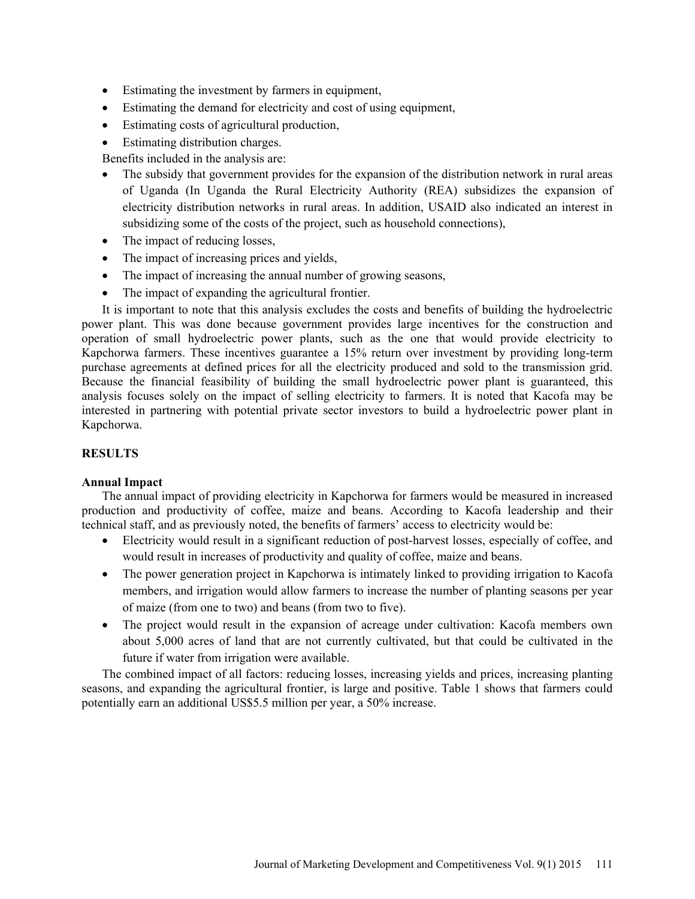- Estimating the investment by farmers in equipment,
- Estimating the demand for electricity and cost of using equipment,
- Estimating costs of agricultural production,
- Estimating distribution charges.

Benefits included in the analysis are:

- The subsidy that government provides for the expansion of the distribution network in rural areas of Uganda (In Uganda the Rural Electricity Authority (REA) subsidizes the expansion of electricity distribution networks in rural areas. In addition, USAID also indicated an interest in subsidizing some of the costs of the project, such as household connections),
- The impact of reducing losses,
- The impact of increasing prices and yields,
- The impact of increasing the annual number of growing seasons,
- The impact of expanding the agricultural frontier.

It is important to note that this analysis excludes the costs and benefits of building the hydroelectric power plant. This was done because government provides large incentives for the construction and operation of small hydroelectric power plants, such as the one that would provide electricity to Kapchorwa farmers. These incentives guarantee a 15% return over investment by providing long-term purchase agreements at defined prices for all the electricity produced and sold to the transmission grid. Because the financial feasibility of building the small hydroelectric power plant is guaranteed, this analysis focuses solely on the impact of selling electricity to farmers. It is noted that Kacofa may be interested in partnering with potential private sector investors to build a hydroelectric power plant in Kapchorwa.

# **RESULTS**

# **Annual Impact**

The annual impact of providing electricity in Kapchorwa for farmers would be measured in increased production and productivity of coffee, maize and beans. According to Kacofa leadership and their technical staff, and as previously noted, the benefits of farmers' access to electricity would be:

- Electricity would result in a significant reduction of post-harvest losses, especially of coffee, and would result in increases of productivity and quality of coffee, maize and beans.
- The power generation project in Kapchorwa is intimately linked to providing irrigation to Kacofa members, and irrigation would allow farmers to increase the number of planting seasons per year of maize (from one to two) and beans (from two to five).
- The project would result in the expansion of acreage under cultivation: Kacofa members own about 5,000 acres of land that are not currently cultivated, but that could be cultivated in the future if water from irrigation were available.

The combined impact of all factors: reducing losses, increasing yields and prices, increasing planting seasons, and expanding the agricultural frontier, is large and positive. Table 1 shows that farmers could potentially earn an additional US\$5.5 million per year, a 50% increase.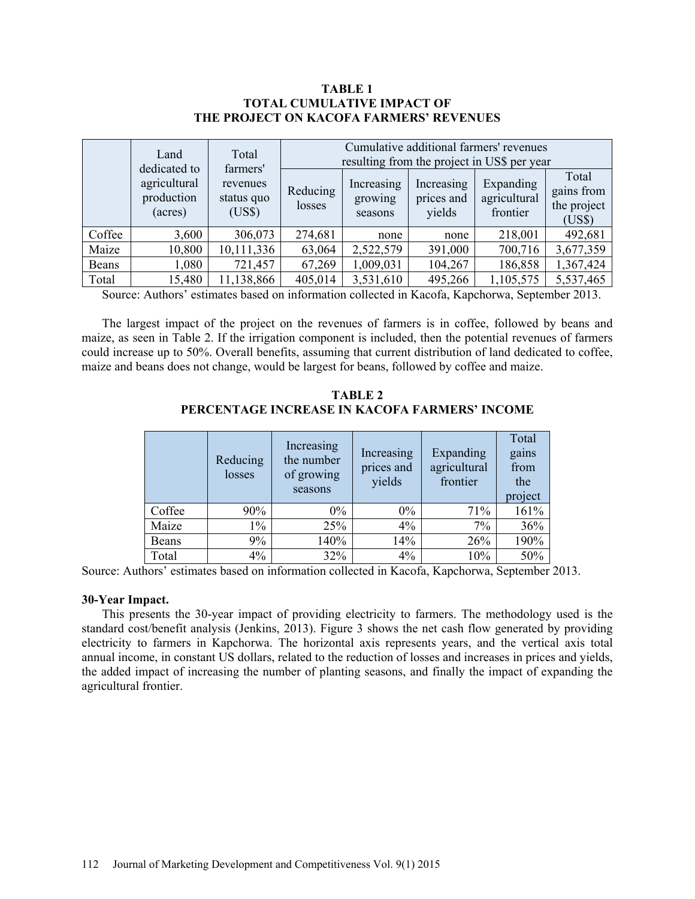### **TABLE 1 TOTAL CUMULATIVE IMPACT OF THE PROJECT ON KACOFA FARMERS' REVENUES**

|        | Land                                                  | Total<br>farmers'<br>revenues<br>status quo<br>(US\$) | Cumulative additional farmers' revenues<br>resulting from the project in US\$ per year |                                  |                                    |                                       |                                              |
|--------|-------------------------------------------------------|-------------------------------------------------------|----------------------------------------------------------------------------------------|----------------------------------|------------------------------------|---------------------------------------|----------------------------------------------|
|        | dedicated to<br>agricultural<br>production<br>(acres) |                                                       | Reducing<br>losses                                                                     | Increasing<br>growing<br>seasons | Increasing<br>prices and<br>yields | Expanding<br>agricultural<br>frontier | Total<br>gains from<br>the project<br>(US\$) |
| Coffee | 3,600                                                 | 306,073                                               | 274,681                                                                                | none                             | none                               | 218,001                               | 492,681                                      |
| Maize  | 10,800                                                | 10,111,336                                            | 63,064                                                                                 | 2,522,579                        | 391,000                            | 700,716                               | 3,677,359                                    |
| Beans  | 1,080                                                 | 721,457                                               | 67,269                                                                                 | 1,009,031                        | 104,267                            | 186,858                               | 1,367,424                                    |
| Total  | 15,480                                                | 11,138,866                                            | 405,014                                                                                | 3,531,610                        | 495,266                            | 1,105,575                             | 5,537,465                                    |

Source: Authors' estimates based on information collected in Kacofa, Kapchorwa, September 2013.

The largest impact of the project on the revenues of farmers is in coffee, followed by beans and maize, as seen in Table 2. If the irrigation component is included, then the potential revenues of farmers could increase up to 50%. Overall benefits, assuming that current distribution of land dedicated to coffee, maize and beans does not change, would be largest for beans, followed by coffee and maize.

**TABLE 2 PERCENTAGE INCREASE IN KACOFA FARMERS' INCOME** 

|        | Reducing<br>losses | Increasing<br>the number<br>of growing<br>seasons | Increasing<br>prices and<br>yields | Expanding<br>agricultural<br>frontier | Total<br>gains<br>from<br>the<br>project |
|--------|--------------------|---------------------------------------------------|------------------------------------|---------------------------------------|------------------------------------------|
| Coffee | 90%                | $0\%$                                             | $0\%$                              | 71%                                   | 161%                                     |
| Maize  | $1\%$              | 25%                                               | 4%                                 | 7%                                    | 36%                                      |
| Beans  | 9%                 | 140%                                              | 14%                                | 26%                                   | 190%                                     |
| Total  | $4\%$              | 32%                                               | 4%                                 | 10%                                   | 50%                                      |

Source: Authors' estimates based on information collected in Kacofa, Kapchorwa, September 2013.

### **30-Year Impact.**

This presents the 30-year impact of providing electricity to farmers. The methodology used is the standard cost/benefit analysis (Jenkins, 2013). Figure 3 shows the net cash flow generated by providing electricity to farmers in Kapchorwa. The horizontal axis represents years, and the vertical axis total annual income, in constant US dollars, related to the reduction of losses and increases in prices and yields, the added impact of increasing the number of planting seasons, and finally the impact of expanding the agricultural frontier.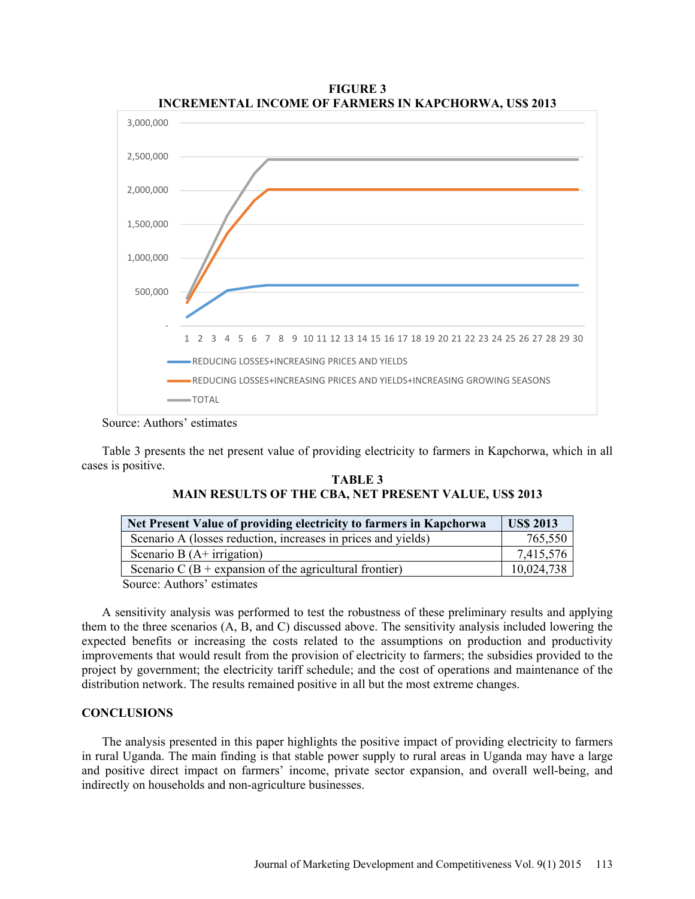

**FIGURE 3 INCREMENTAL INCOME OF FARMERS IN KAPCHORWA, US\$ 2013** 

Source: Authors' estimates

Table 3 presents the net present value of providing electricity to farmers in Kapchorwa, which in all cases is positive.

| <b>TABLE 3</b>                                               |  |  |  |  |  |  |  |
|--------------------------------------------------------------|--|--|--|--|--|--|--|
| <b>MAIN RESULTS OF THE CBA, NET PRESENT VALUE, US\$ 2013</b> |  |  |  |  |  |  |  |

| Net Present Value of providing electricity to farmers in Kapchorwa | <b>US\$ 2013</b> |
|--------------------------------------------------------------------|------------------|
| Scenario A (losses reduction, increases in prices and yields)      | 765,550          |
| Scenario B $(A+$ irrigation)                                       | 7,415,576        |
| Scenario C (B + expansion of the agricultural frontier)            | 10,024,738       |
| Course Authors' octimates                                          |                  |

Source: Authors' estimates

A sensitivity analysis was performed to test the robustness of these preliminary results and applying them to the three scenarios (A, B, and C) discussed above. The sensitivity analysis included lowering the expected benefits or increasing the costs related to the assumptions on production and productivity improvements that would result from the provision of electricity to farmers; the subsidies provided to the project by government; the electricity tariff schedule; and the cost of operations and maintenance of the distribution network. The results remained positive in all but the most extreme changes.

# **CONCLUSIONS**

The analysis presented in this paper highlights the positive impact of providing electricity to farmers in rural Uganda. The main finding is that stable power supply to rural areas in Uganda may have a large and positive direct impact on farmers' income, private sector expansion, and overall well-being, and indirectly on households and non-agriculture businesses.